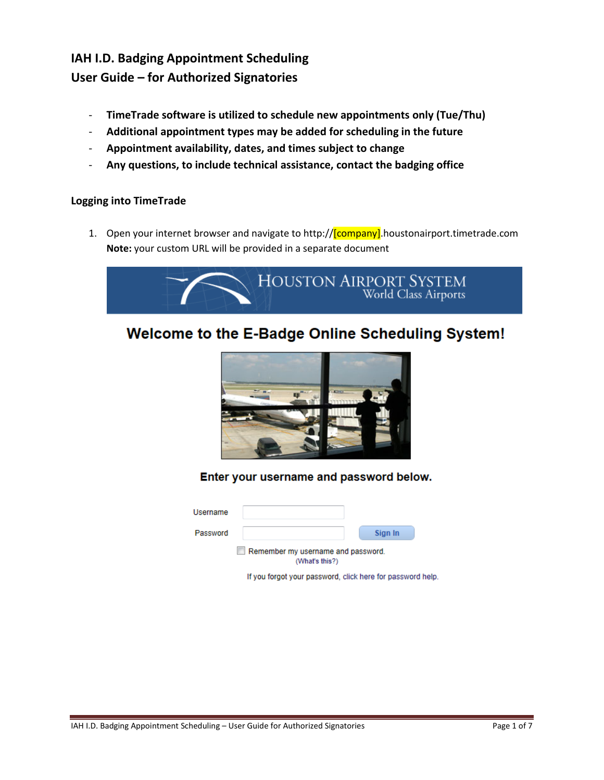## **IAH I.D. Badging Appointment Scheduling User Guide – for Authorized Signatories**

- **TimeTrade software is utilized to schedule new appointments only (Tue/Thu)**
- **Additional appointment types may be added for scheduling in the future**
- **Appointment availability, dates, and times subject to change**
- **Any questions, to include technical assistance, contact the badging office**

#### **Logging into TimeTrade**

1. Open your internet browser and navigate to http://**[company]**.houstonairport.timetrade.com **Note:** your custom URL will be provided in a separate document



# Welcome to the E-Badge Online Scheduling System!



Enter your username and password below.

| Username |                                                      |         |
|----------|------------------------------------------------------|---------|
| Password |                                                      | Sign In |
|          | Remember my username and password.<br>(What's this?) |         |

If you forgot your password, click here for password help.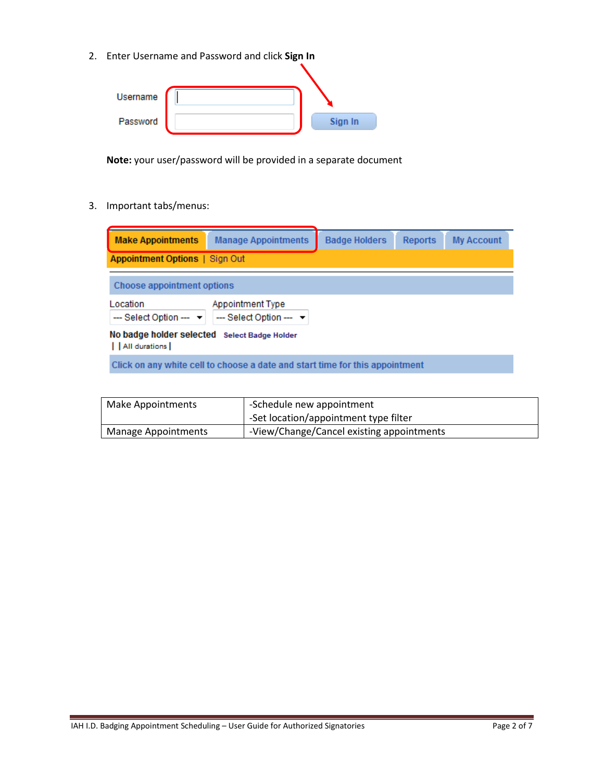2. Enter Username and Password and click **Sign In**

| Username |         |
|----------|---------|
| Password | Sign In |

**Note:** your user/password will be provided in a separate document

3. Important tabs/menus:

| <b>Make Appointments</b>                                          | <b>Manage Appointments</b>                                                   | <b>Badge Holders</b> | <b>Reports</b> | <b>My Account</b> |
|-------------------------------------------------------------------|------------------------------------------------------------------------------|----------------------|----------------|-------------------|
| <b>Appointment Options   Sign Out</b>                             |                                                                              |                      |                |                   |
| Choose appointment options                                        |                                                                              |                      |                |                   |
| Location<br>$-$ Select Option $  -$                               | Appointment Type<br>$-$ Select Option $ \rightarrow$                         |                      |                |                   |
| No badge holder selected Select Badge Holder<br>    All durations |                                                                              |                      |                |                   |
|                                                                   | Click on any white cell to choose a date and start time for this appointment |                      |                |                   |

| Make Appointments   | -Schedule new appointment                 |
|---------------------|-------------------------------------------|
|                     | -Set location/appointment type filter     |
| Manage Appointments | -View/Change/Cancel existing appointments |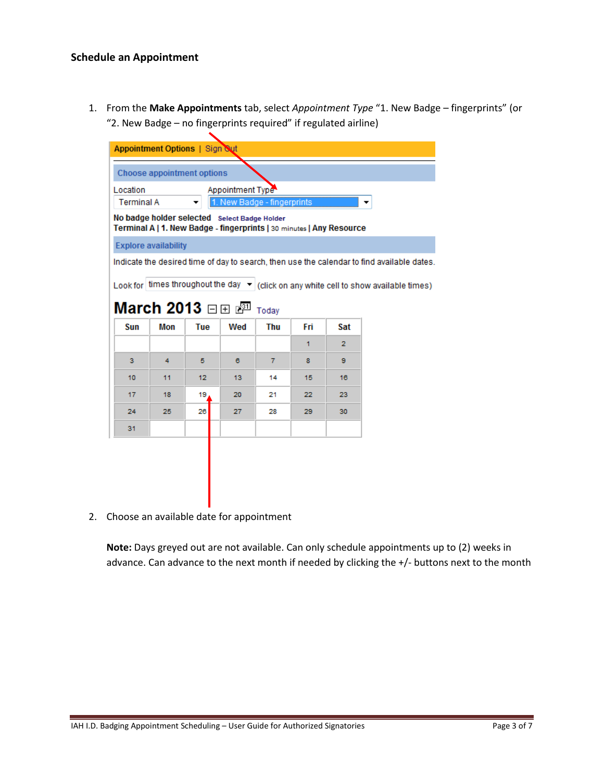1. From the **Make Appointments** tab, select *Appointment Type* "1. New Badge – fingerprints" (or "2. New Badge – no fingerprints required" if regulated airline)

|                               | <b>Appointment Options   Sign Sut</b> |     |                                                                                                                      |                     |     |     |                                                                                                 |
|-------------------------------|---------------------------------------|-----|----------------------------------------------------------------------------------------------------------------------|---------------------|-----|-----|-------------------------------------------------------------------------------------------------|
|                               | <b>Choose appointment options</b>     |     |                                                                                                                      |                     |     |     |                                                                                                 |
| Location<br><b>Terminal A</b> |                                       | ▼   | Appointment Type<br>1. New Badge - fingerprints                                                                      |                     |     |     |                                                                                                 |
|                               |                                       |     | No badge holder selected Select Badge Holder<br>Terminal A   1. New Badge - fingerprints   30 minutes   Any Resource |                     |     |     |                                                                                                 |
|                               | <b>Explore availability</b>           |     |                                                                                                                      |                     |     |     |                                                                                                 |
|                               |                                       |     |                                                                                                                      |                     |     |     | Indicate the desired time of day to search, then use the calendar to find available dates.      |
|                               |                                       |     |                                                                                                                      |                     |     |     | Look for times throughout the day $\mathbf{v}$ click on any white cell to show available times) |
| Sun                           | March 2013 ⊟⊞ r <sup>31</sup><br>Mon  | Tue | Wed                                                                                                                  | Today<br><b>Thu</b> | Fri | Sat |                                                                                                 |
|                               |                                       |     |                                                                                                                      |                     | 1   | 2   |                                                                                                 |
| з.                            | 4                                     | 5   | 6                                                                                                                    | 7                   | 8   | 9   |                                                                                                 |
| 10                            | 11                                    | 12  | 13                                                                                                                   | 14                  | 15  | 16  |                                                                                                 |
| 17                            | 18                                    | 19  | 20                                                                                                                   | 21                  | 22  | 23  |                                                                                                 |
| 24                            | 25                                    | 26  | 27                                                                                                                   | 28                  | 29  | 30  |                                                                                                 |
| 31                            |                                       |     |                                                                                                                      |                     |     |     |                                                                                                 |

2. Choose an available date for appointment

**Note:** Days greyed out are not available. Can only schedule appointments up to (2) weeks in advance. Can advance to the next month if needed by clicking the +/- buttons next to the month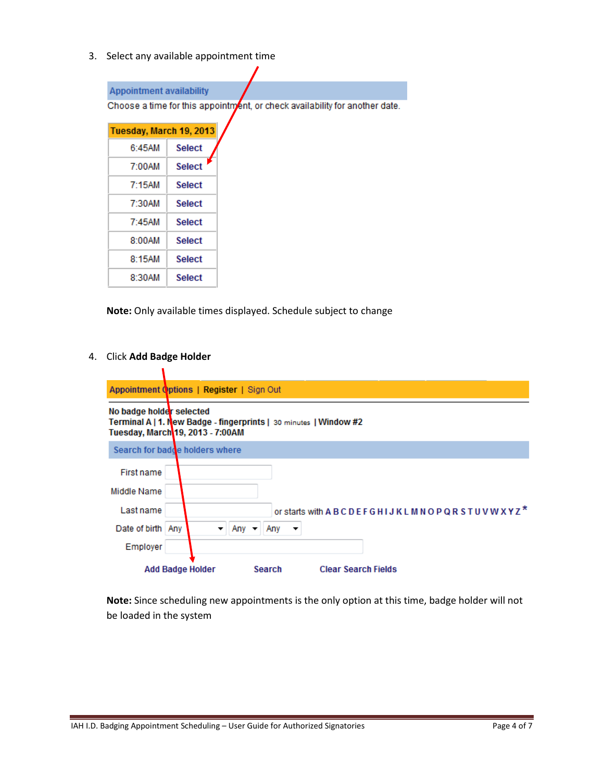3. Select any available appointment time

### **Appointment availability**

Choose a time for this appointment, or check availability for another date.

| Tuesday, March 19, 2013 |               |  |  |  |
|-------------------------|---------------|--|--|--|
| 6:45AM                  | <b>Select</b> |  |  |  |
| 7:00AM                  | <b>Select</b> |  |  |  |
| 7:15AM                  | Select        |  |  |  |
| 7:30AM                  | Select        |  |  |  |
| 7:45AM                  | Select        |  |  |  |
| 8:00AM                  | Select        |  |  |  |
| 8:15AM                  | <b>Select</b> |  |  |  |
| 8:30AM                  | <b>Select</b> |  |  |  |

**Note:** Only available times displayed. Schedule subject to change

#### 4. Click **Add Badge Holder**

١

|                          | Appointment Options   Register   Sign Out                                                             |
|--------------------------|-------------------------------------------------------------------------------------------------------|
| No badge holder selected | Terminal A   1. New Badge - fingerprints   30 minutes   Window #2<br>Tuesday, March 19, 2013 - 7:00AM |
|                          | Search for badde holders where                                                                        |
| First name               |                                                                                                       |
| Middle Name              |                                                                                                       |
| Last name                | or starts with ABCDEFGHIJKLMNOPQRSTUVWXYZ <sup>*</sup>                                                |
| Date of birth Any        | Any $\rightarrow$<br>Any<br>$\overline{\phantom{a}}$<br>▼                                             |
| Employer                 |                                                                                                       |
|                          | Search<br><b>Clear Search Fields</b><br><b>Add Badge Holder</b>                                       |

**Note:** Since scheduling new appointments is the only option at this time, badge holder will not be loaded in the system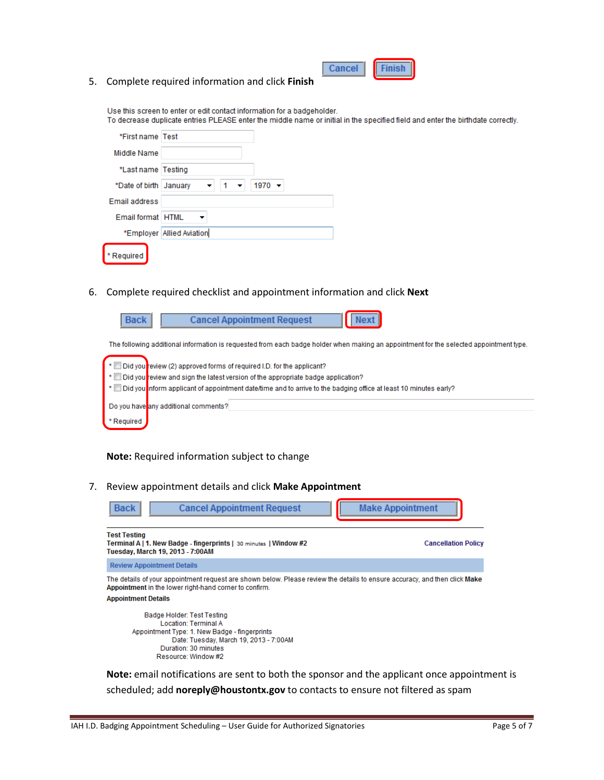|--|

5. Complete required information and click **Finish** 

Use this screen to enter or edit contact information for a badgeholder. To decrease duplicate entries PLEASE enter the middle name or initial in the specified field and enter the birthdate correctly.

| *First name Test         |                                     |  |
|--------------------------|-------------------------------------|--|
| Middle Name              |                                     |  |
| *Last name   Testing     |                                     |  |
| *Date of birth   January | $1970 -$<br>$1 - 7$<br>$\mathbf{v}$ |  |
| Email address            |                                     |  |
| Email format HTML        | $\overline{\phantom{a}}$            |  |
|                          | *Employer Allied Aviation           |  |
| * Required               |                                     |  |

6. Complete required checklist and appointment information and click **Next**

| Back | <b>Cancel Appointment Request</b> | $\vert$ Next $\vert$                                                                                                                   |  |
|------|-----------------------------------|----------------------------------------------------------------------------------------------------------------------------------------|--|
|      |                                   | The following additional information is requested from each badge holder when making an appointment for the selected appointment type. |  |

|            | $\bullet$ $\blacksquare$ Did you review (2) approved forms of required I.D. for the applicant?                    |
|------------|-------------------------------------------------------------------------------------------------------------------|
|            | $\mathbb{R}^*$ Did you review and sign the latest version of the appropriate badge application?                   |
|            | ■ bid you nform applicant of appointment date/time and to arrive to the badging office at least 10 minutes early? |
|            | Do you have any additional comments?                                                                              |
| * Required |                                                                                                                   |

**Note:** Required information subject to change

7. Review appointment details and click **Make Appointment**

| <b>Back</b>                                             | <b>Cancel Appointment Request</b>                                                                                                                                                                   | <b>Make Appointment</b>    |
|---------------------------------------------------------|-----------------------------------------------------------------------------------------------------------------------------------------------------------------------------------------------------|----------------------------|
| <b>Test Testing</b><br>Tuesday, March 19, 2013 - 7:00AM | Terminal A   1. New Badge - fingerprints   30 minutes   Window #2                                                                                                                                   | <b>Cancellation Policy</b> |
| <b>Review Appointment Details</b>                       |                                                                                                                                                                                                     |                            |
| <b>Appointment Details</b>                              | The details of your appointment request are shown below. Please review the details to ensure accuracy, and then click M <b>ake</b><br>Appointment in the lower right-hand corner to confirm.        |                            |
|                                                         | Badge Holder: Test Testing<br><b>Location: Terminal A</b><br>Appointment Type: 1. New Badge - fingerprints<br>Date: Tuesday, March 19, 2013 - 7:00AM<br>Duration: 30 minutes<br>Resource: Window #2 |                            |
|                                                         | <b>Note:</b> email notifications are sent to both the sponsor and the applicant once appointment is                                                                                                 |                            |

scheduled; add **noreply@houstontx.gov** to contacts to ensure not filtered as spam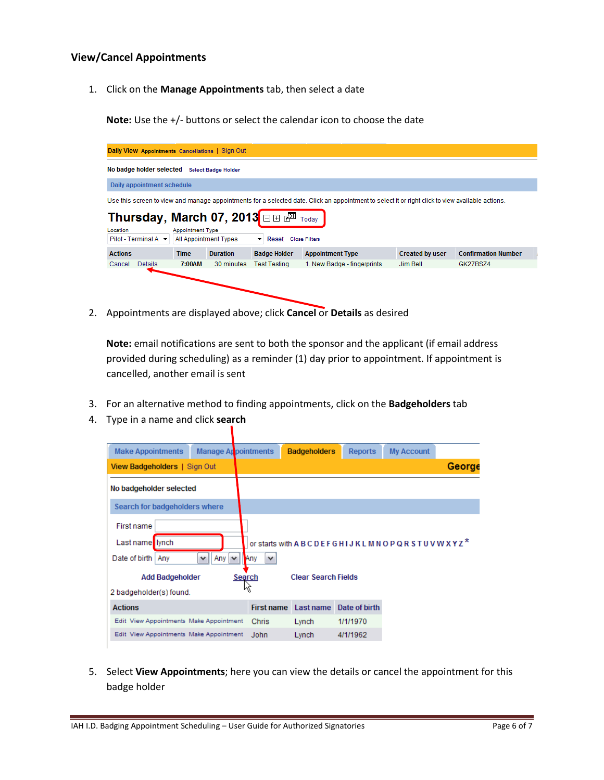#### **View/Cancel Appointments**

1. Click on the **Manage Appointments** tab, then select a date

**Note:** Use the +/- buttons or select the calendar icon to choose the date



2. Appointments are displayed above; click **Cancel** or **Details** as desired

**Note:** email notifications are sent to both the sponsor and the applicant (if email address provided during scheduling) as a reminder (1) day prior to appointment. If appointment is cancelled, another email is sent

- 3. For an alternative method to finding appointments, click on the **Badgeholders** tab
- 4. Type in a name and click **search**

| <b>Make Appointments</b>                | Manage Appointments          |                     | <b>Badgeholders</b>        | <b>Reports</b> | <b>My Account</b>                                                    |        |
|-----------------------------------------|------------------------------|---------------------|----------------------------|----------------|----------------------------------------------------------------------|--------|
| View Badgeholders   Sign Out            |                              |                     |                            |                |                                                                      | George |
| No badgeholder selected                 |                              |                     |                            |                |                                                                      |        |
| Search for badgeholders where           |                              |                     |                            |                |                                                                      |        |
| First name                              |                              |                     |                            |                |                                                                      |        |
| Last name I lynch                       |                              |                     |                            |                | or starts with A B C D E F G H I J K L M N O P Q R S T U V W X Y Z * |        |
| Date of birth  <br>Any                  | $\checkmark$<br>Any $ $<br>v | Any<br>$\checkmark$ |                            |                |                                                                      |        |
| <b>Add Badgeholder</b>                  |                              | Search              | <b>Clear Search Fields</b> |                |                                                                      |        |
| 2 badgeholder(s) found.                 |                              |                     |                            |                |                                                                      |        |
| <b>Actions</b>                          |                              | <b>First name</b>   | Last name                  | Date of birth  |                                                                      |        |
| Edit View Appointments Make Appointment |                              | Chris               | Lynch                      | 1/1/1970       |                                                                      |        |
| Edit View Appointments Make Appointment |                              | John                | Lynch                      | 4/1/1962       |                                                                      |        |

5. Select **View Appointments**; here you can view the details or cancel the appointment for this badge holder